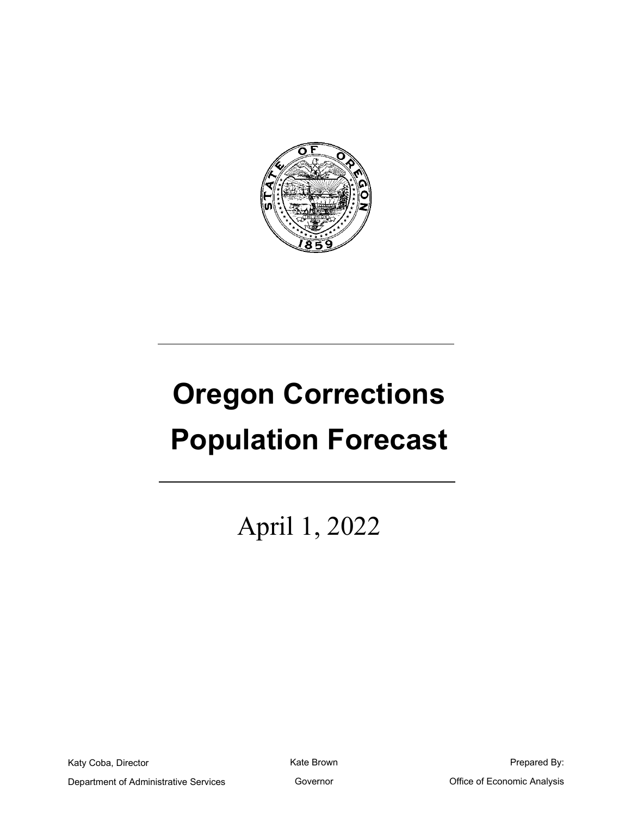

# **Oregon Corrections Population Forecast**

April 1, 2022

Katy Coba, Director

Kate Brown

Prepared By:

Department of Administrative Services

Governor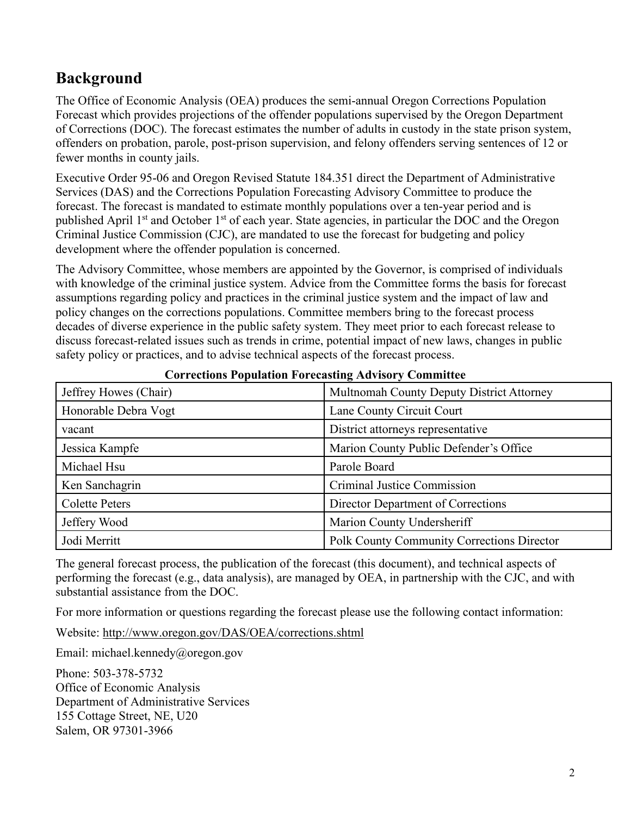# **Background**

The Office of Economic Analysis (OEA) produces the semi-annual Oregon Corrections Population Forecast which provides projections of the offender populations supervised by the Oregon Department of Corrections (DOC). The forecast estimates the number of adults in custody in the state prison system, offenders on probation, parole, post-prison supervision, and felony offenders serving sentences of 12 or fewer months in county jails.

Executive Order 95-06 and Oregon Revised Statute 184.351 direct the Department of Administrative Services (DAS) and the Corrections Population Forecasting Advisory Committee to produce the forecast. The forecast is mandated to estimate monthly populations over a ten-year period and is published April 1<sup>st</sup> and October 1<sup>st</sup> of each year. State agencies, in particular the DOC and the Oregon Criminal Justice Commission (CJC), are mandated to use the forecast for budgeting and policy development where the offender population is concerned.

The Advisory Committee, whose members are appointed by the Governor, is comprised of individuals with knowledge of the criminal justice system. Advice from the Committee forms the basis for forecast assumptions regarding policy and practices in the criminal justice system and the impact of law and policy changes on the corrections populations. Committee members bring to the forecast process decades of diverse experience in the public safety system. They meet prior to each forecast release to discuss forecast-related issues such as trends in crime, potential impact of new laws, changes in public safety policy or practices, and to advise technical aspects of the forecast process.

| Jeffrey Howes (Chair) | Multnomah County Deputy District Attorney         |
|-----------------------|---------------------------------------------------|
| Honorable Debra Vogt  | Lane County Circuit Court                         |
| vacant                | District attorneys representative                 |
| Jessica Kampfe        | Marion County Public Defender's Office            |
| Michael Hsu           | Parole Board                                      |
| Ken Sanchagrin        | Criminal Justice Commission                       |
| <b>Colette Peters</b> | Director Department of Corrections                |
| Jeffery Wood          | Marion County Undersheriff                        |
| Jodi Merritt          | <b>Polk County Community Corrections Director</b> |

#### **Corrections Population Forecasting Advisory Committee**

The general forecast process, the publication of the forecast (this document), and technical aspects of performing the forecast (e.g., data analysis), are managed by OEA, in partnership with the CJC, and with substantial assistance from the DOC.

For more information or questions regarding the forecast please use the following contact information:

Website:<http://www.oregon.gov/DAS/OEA/corrections.shtml>

Email: michael.kennedy@oregon.gov

Phone: 503-378-5732 Office of Economic Analysis Department of Administrative Services 155 Cottage Street, NE, U20 Salem, OR 97301-3966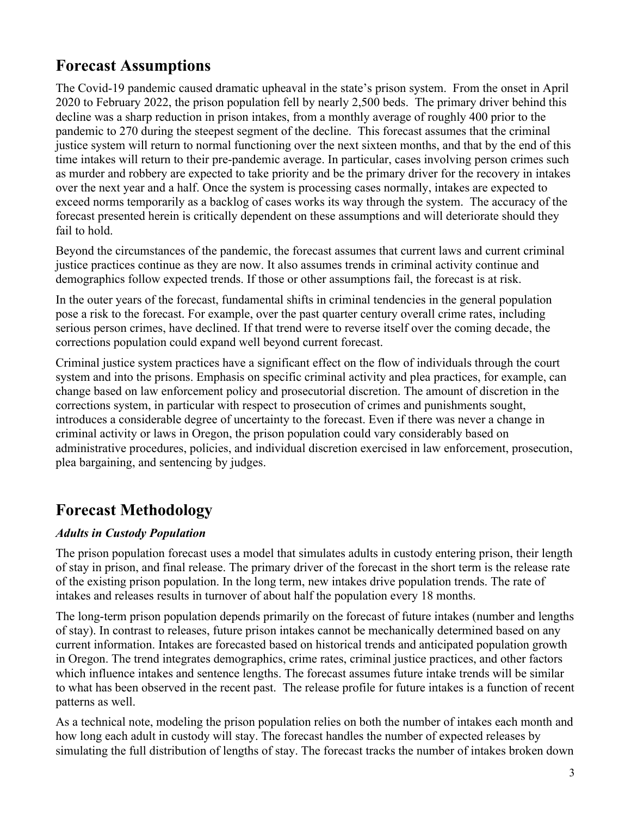# **Forecast Assumptions**

The Covid-19 pandemic caused dramatic upheaval in the state's prison system. From the onset in April 2020 to February 2022, the prison population fell by nearly 2,500 beds. The primary driver behind this decline was a sharp reduction in prison intakes, from a monthly average of roughly 400 prior to the pandemic to 270 during the steepest segment of the decline. This forecast assumes that the criminal justice system will return to normal functioning over the next sixteen months, and that by the end of this time intakes will return to their pre-pandemic average. In particular, cases involving person crimes such as murder and robbery are expected to take priority and be the primary driver for the recovery in intakes over the next year and a half. Once the system is processing cases normally, intakes are expected to exceed norms temporarily as a backlog of cases works its way through the system. The accuracy of the forecast presented herein is critically dependent on these assumptions and will deteriorate should they fail to hold.

Beyond the circumstances of the pandemic, the forecast assumes that current laws and current criminal justice practices continue as they are now. It also assumes trends in criminal activity continue and demographics follow expected trends. If those or other assumptions fail, the forecast is at risk.

In the outer years of the forecast, fundamental shifts in criminal tendencies in the general population pose a risk to the forecast. For example, over the past quarter century overall crime rates, including serious person crimes, have declined. If that trend were to reverse itself over the coming decade, the corrections population could expand well beyond current forecast.

Criminal justice system practices have a significant effect on the flow of individuals through the court system and into the prisons. Emphasis on specific criminal activity and plea practices, for example, can change based on law enforcement policy and prosecutorial discretion. The amount of discretion in the corrections system, in particular with respect to prosecution of crimes and punishments sought, introduces a considerable degree of uncertainty to the forecast. Even if there was never a change in criminal activity or laws in Oregon, the prison population could vary considerably based on administrative procedures, policies, and individual discretion exercised in law enforcement, prosecution, plea bargaining, and sentencing by judges.

# **Forecast Methodology**

# *Adults in Custody Population*

The prison population forecast uses a model that simulates adults in custody entering prison, their length of stay in prison, and final release. The primary driver of the forecast in the short term is the release rate of the existing prison population. In the long term, new intakes drive population trends. The rate of intakes and releases results in turnover of about half the population every 18 months.

The long-term prison population depends primarily on the forecast of future intakes (number and lengths of stay). In contrast to releases, future prison intakes cannot be mechanically determined based on any current information. Intakes are forecasted based on historical trends and anticipated population growth in Oregon. The trend integrates demographics, crime rates, criminal justice practices, and other factors which influence intakes and sentence lengths. The forecast assumes future intake trends will be similar to what has been observed in the recent past. The release profile for future intakes is a function of recent patterns as well.

As a technical note, modeling the prison population relies on both the number of intakes each month and how long each adult in custody will stay. The forecast handles the number of expected releases by simulating the full distribution of lengths of stay. The forecast tracks the number of intakes broken down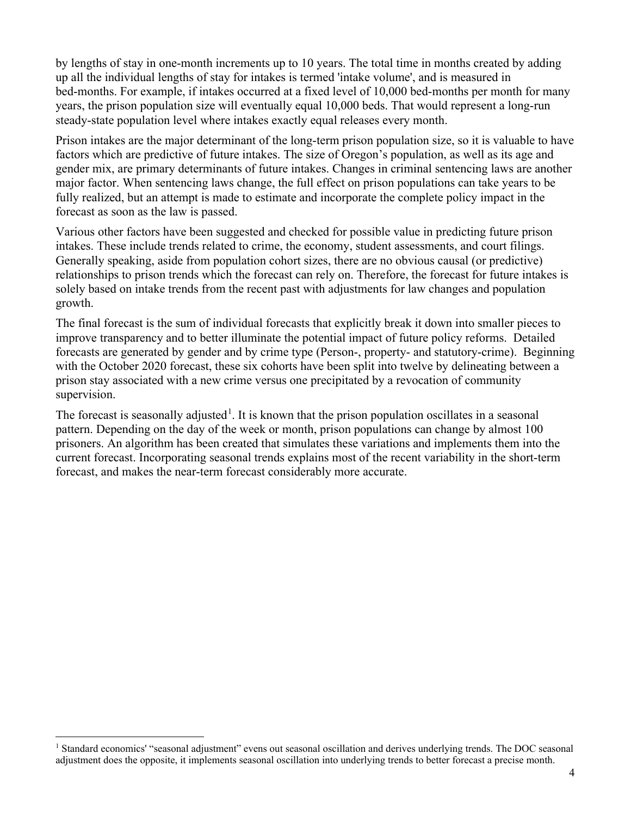by lengths of stay in one-month increments up to 10 years. The total time in months created by adding up all the individual lengths of stay for intakes is termed 'intake volume', and is measured in bed-months. For example, if intakes occurred at a fixed level of 10,000 bed-months per month for many years, the prison population size will eventually equal 10,000 beds. That would represent a long-run steady-state population level where intakes exactly equal releases every month.

Prison intakes are the major determinant of the long-term prison population size, so it is valuable to have factors which are predictive of future intakes. The size of Oregon's population, as well as its age and gender mix, are primary determinants of future intakes. Changes in criminal sentencing laws are another major factor. When sentencing laws change, the full effect on prison populations can take years to be fully realized, but an attempt is made to estimate and incorporate the complete policy impact in the forecast as soon as the law is passed.

Various other factors have been suggested and checked for possible value in predicting future prison intakes. These include trends related to crime, the economy, student assessments, and court filings. Generally speaking, aside from population cohort sizes, there are no obvious causal (or predictive) relationships to prison trends which the forecast can rely on. Therefore, the forecast for future intakes is solely based on intake trends from the recent past with adjustments for law changes and population growth.

The final forecast is the sum of individual forecasts that explicitly break it down into smaller pieces to improve transparency and to better illuminate the potential impact of future policy reforms. Detailed forecasts are generated by gender and by crime type (Person-, property- and statutory-crime). Beginning with the October 2020 forecast, these six cohorts have been split into twelve by delineating between a prison stay associated with a new crime versus one precipitated by a revocation of community supervision.

The forecast is seasonally adjusted<sup>[1](#page-3-0)</sup>. It is known that the prison population oscillates in a seasonal pattern. Depending on the day of the week or month, prison populations can change by almost 100 prisoners. An algorithm has been created that simulates these variations and implements them into the current forecast. Incorporating seasonal trends explains most of the recent variability in the short-term forecast, and makes the near-term forecast considerably more accurate.

<span id="page-3-0"></span><sup>&</sup>lt;sup>1</sup> Standard economics' "seasonal adjustment" evens out seasonal oscillation and derives underlying trends. The DOC seasonal adjustment does the opposite, it implements seasonal oscillation into underlying trends to better forecast a precise month.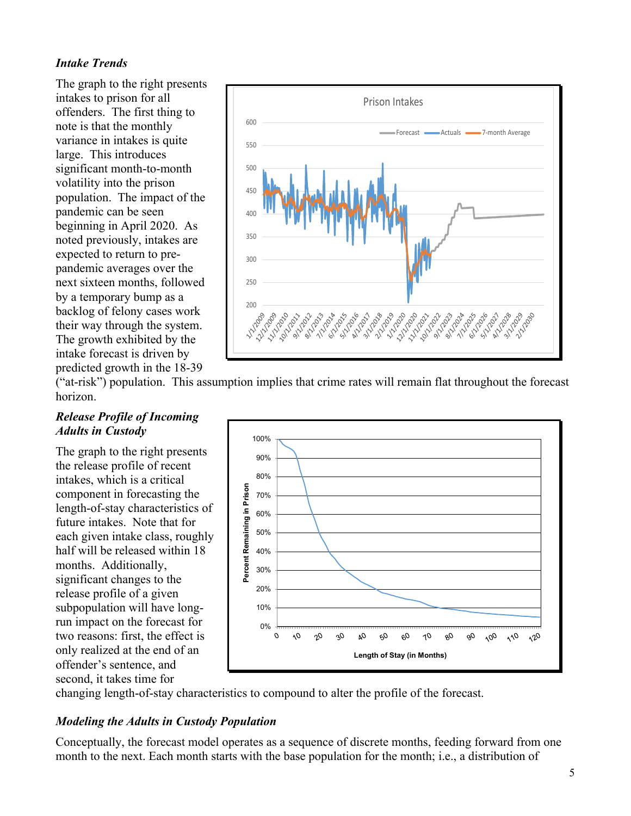# *Intake Trends*

The graph to the right presents intakes to prison for all offenders. The first thing to note is that the monthly variance in intakes is quite large. This introduces significant month-to-month volatility into the prison population. The impact of the pandemic can be seen beginning in April 2020. As noted previously, intakes are expected to return to prepandemic averages over the next sixteen months, followed by a temporary bump as a backlog of felony cases work their way through the system. The growth exhibited by the intake forecast is driven by predicted growth in the 18-39



("at-risk") population. This assumption implies that crime rates will remain flat throughout the forecast horizon.

#### *Release Profile of Incoming Adults in Custody*

The graph to the right presents the release profile of recent intakes, which is a critical component in forecasting the length-of-stay characteristics of future intakes. Note that for each given intake class, roughly half will be released within 18 months. Additionally, significant changes to the release profile of a given subpopulation will have longrun impact on the forecast for two reasons: first, the effect is only realized at the end of an offender's sentence, and second, it takes time for



changing length-of-stay characteristics to compound to alter the profile of the forecast.

# *Modeling the Adults in Custody Population*

Conceptually, the forecast model operates as a sequence of discrete months, feeding forward from one month to the next. Each month starts with the base population for the month; i.e., a distribution of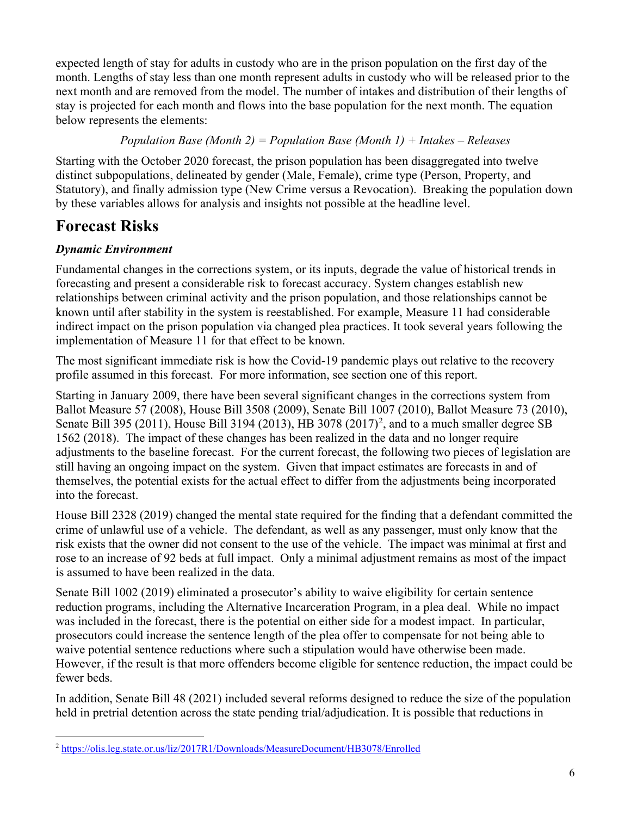expected length of stay for adults in custody who are in the prison population on the first day of the month. Lengths of stay less than one month represent adults in custody who will be released prior to the next month and are removed from the model. The number of intakes and distribution of their lengths of stay is projected for each month and flows into the base population for the next month. The equation below represents the elements:

# *Population Base (Month 2) = Population Base (Month 1) + Intakes – Releases*

Starting with the October 2020 forecast, the prison population has been disaggregated into twelve distinct subpopulations, delineated by gender (Male, Female), crime type (Person, Property, and Statutory), and finally admission type (New Crime versus a Revocation). Breaking the population down by these variables allows for analysis and insights not possible at the headline level.

# **Forecast Risks**

# *Dynamic Environment*

Fundamental changes in the corrections system, or its inputs, degrade the value of historical trends in forecasting and present a considerable risk to forecast accuracy. System changes establish new relationships between criminal activity and the prison population, and those relationships cannot be known until after stability in the system is reestablished. For example, Measure 11 had considerable indirect impact on the prison population via changed plea practices. It took several years following the implementation of Measure 11 for that effect to be known.

The most significant immediate risk is how the Covid-19 pandemic plays out relative to the recovery profile assumed in this forecast. For more information, see section one of this report.

Starting in January 2009, there have been several significant changes in the corrections system from Ballot Measure 57 (2008), House Bill 3508 (2009), Senate Bill 1007 (2010), Ballot Measure 73 (2010), Senate Bill 395 ([2](#page-5-0)011), House Bill 3194 (2013), HB 3078 (2017)<sup>2</sup>, and to a much smaller degree SB 1562 (2018). The impact of these changes has been realized in the data and no longer require adjustments to the baseline forecast. For the current forecast, the following two pieces of legislation are still having an ongoing impact on the system. Given that impact estimates are forecasts in and of themselves, the potential exists for the actual effect to differ from the adjustments being incorporated into the forecast.

House Bill 2328 (2019) changed the mental state required for the finding that a defendant committed the crime of unlawful use of a vehicle. The defendant, as well as any passenger, must only know that the risk exists that the owner did not consent to the use of the vehicle. The impact was minimal at first and rose to an increase of 92 beds at full impact. Only a minimal adjustment remains as most of the impact is assumed to have been realized in the data.

Senate Bill 1002 (2019) eliminated a prosecutor's ability to waive eligibility for certain sentence reduction programs, including the Alternative Incarceration Program, in a plea deal. While no impact was included in the forecast, there is the potential on either side for a modest impact. In particular, prosecutors could increase the sentence length of the plea offer to compensate for not being able to waive potential sentence reductions where such a stipulation would have otherwise been made. However, if the result is that more offenders become eligible for sentence reduction, the impact could be fewer beds.

In addition, Senate Bill 48 (2021) included several reforms designed to reduce the size of the population held in pretrial detention across the state pending trial/adjudication. It is possible that reductions in

<span id="page-5-0"></span><sup>2</sup> <https://olis.leg.state.or.us/liz/2017R1/Downloads/MeasureDocument/HB3078/Enrolled>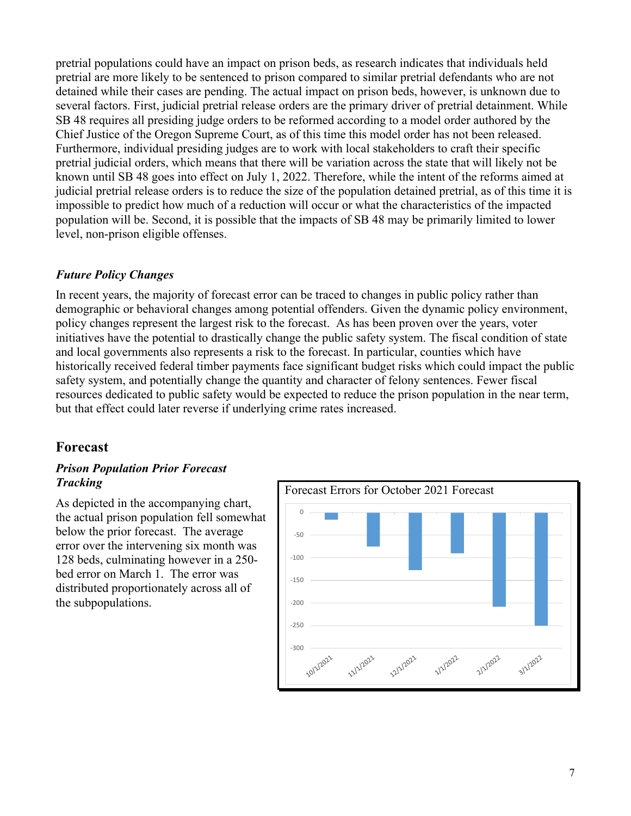pretrial populations could have an impact on prison beds, as research indicates that individuals held pretrial are more likely to be sentenced to prison compared to similar pretrial defendants who are not detained while their cases are pending. The actual impact on prison beds, however, is unknown due to several factors. First, judicial pretrial release orders are the primary driver of pretrial detainment. While SB 48 requires all presiding judge orders to be reformed according to a model order authored by the Chief Justice of the Oregon Supreme Court, as of this time this model order has not been released. Furthermore, individual presiding judges are to work with local stakeholders to craft their specific pretrial judicial orders, which means that there will be variation across the state that will likely not be known until SB 48 goes into effect on July 1, 2022. Therefore, while the intent of the reforms aimed at judicial pretrial release orders is to reduce the size of the population detained pretrial, as of this time it is impossible to predict how much of a reduction will occur or what the characteristics of the impacted population will be. Second, it is possible that the impacts of SB 48 may be primarily limited to lower level, non-prison eligible offenses.

## *Future Policy Changes*

In recent years, the majority of forecast error can be traced to changes in public policy rather than demographic or behavioral changes among potential offenders. Given the dynamic policy environment, policy changes represent the largest risk to the forecast. As has been proven over the years, voter initiatives have the potential to drastically change the public safety system. The fiscal condition of state and local governments also represents a risk to the forecast. In particular, counties which have historically received federal timber payments face significant budget risks which could impact the public safety system, and potentially change the quantity and character of felony sentences. Fewer fiscal resources dedicated to public safety would be expected to reduce the prison population in the near term, but that effect could later reverse if underlying crime rates increased.

# **Forecast**

#### *Prison Population Prior Forecast Tracking*

As depicted in the accompanying chart, the actual prison population fell somewhat below the prior forecast. The average error over the intervening six month was 128 beds, culminating however in a 250 bed error on March 1. The error was distributed proportionately across all of the subpopulations.

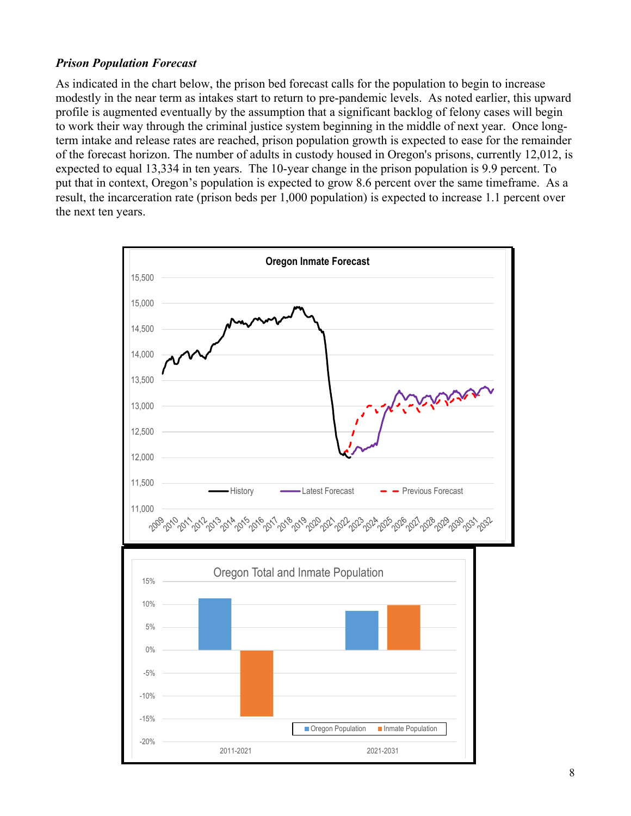#### *Prison Population Forecast*

As indicated in the chart below, the prison bed forecast calls for the population to begin to increase modestly in the near term as intakes start to return to pre-pandemic levels. As noted earlier, this upward profile is augmented eventually by the assumption that a significant backlog of felony cases will begin to work their way through the criminal justice system beginning in the middle of next year. Once longterm intake and release rates are reached, prison population growth is expected to ease for the remainder of the forecast horizon. The number of adults in custody housed in Oregon's prisons, currently 12,012, is expected to equal 13,334 in ten years. The 10-year change in the prison population is 9.9 percent. To put that in context, Oregon's population is expected to grow 8.6 percent over the same timeframe. As a result, the incarceration rate (prison beds per 1,000 population) is expected to increase 1.1 percent over the next ten years.

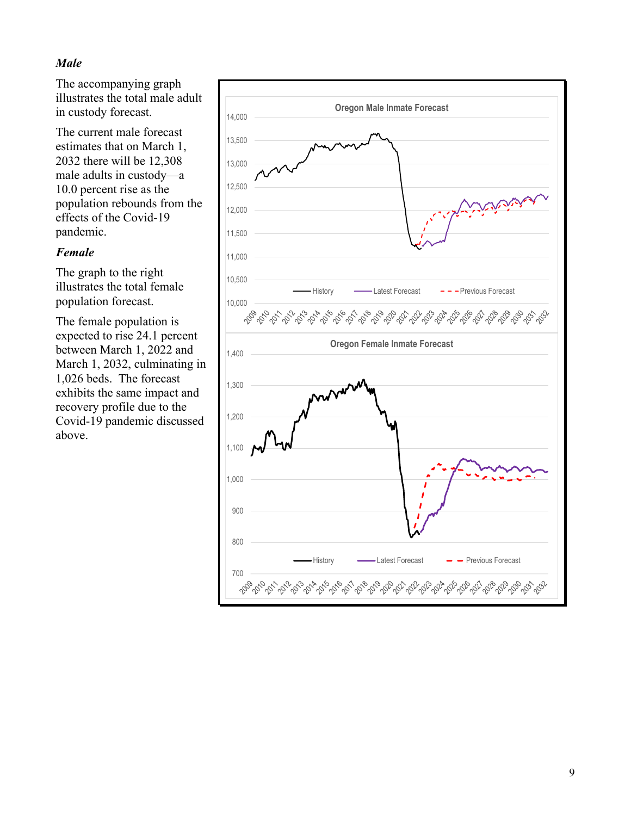## *Male*

The accompanying graph illustrates the total male adult in custody forecast.

The current male forecast estimates that on March 1, 2032 there will be 12,308 male adults in custody—a 10.0 percent rise as the population rebounds from the effects of the Covid-19 pandemic.

#### *Female*

The graph to the right illustrates the total female population forecast.

The female population is expected to rise 24.1 percent between March 1, 2022 and March 1, 2032, culminating in 1,026 beds. The forecast exhibits the same impact and recovery profile due to the Covid-19 pandemic discussed above.

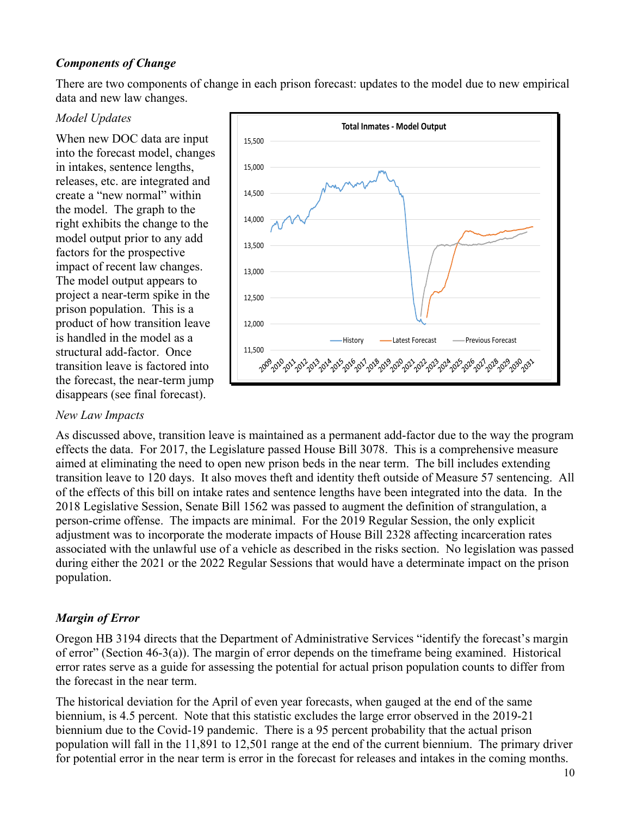## *Components of Change*

There are two components of change in each prison forecast: updates to the model due to new empirical data and new law changes.

#### *Model Updates*

When new DOC data are input into the forecast model, changes in intakes, sentence lengths, releases, etc. are integrated and create a "new normal" within the model. The graph to the right exhibits the change to the model output prior to any add factors for the prospective impact of recent law changes. The model output appears to project a near-term spike in the prison population. This is a product of how transition leave is handled in the model as a structural add-factor. Once transition leave is factored into the forecast, the near-term jump disappears (see final forecast).

#### *New Law Impacts*



As discussed above, transition leave is maintained as a permanent add-factor due to the way the program effects the data. For 2017, the Legislature passed House Bill 3078. This is a comprehensive measure aimed at eliminating the need to open new prison beds in the near term. The bill includes extending transition leave to 120 days. It also moves theft and identity theft outside of Measure 57 sentencing. All of the effects of this bill on intake rates and sentence lengths have been integrated into the data. In the 2018 Legislative Session, Senate Bill 1562 was passed to augment the definition of strangulation, a person-crime offense. The impacts are minimal. For the 2019 Regular Session, the only explicit adjustment was to incorporate the moderate impacts of House Bill 2328 affecting incarceration rates associated with the unlawful use of a vehicle as described in the risks section. No legislation was passed during either the 2021 or the 2022 Regular Sessions that would have a determinate impact on the prison population.

#### *Margin of Error*

Oregon HB 3194 directs that the Department of Administrative Services "identify the forecast's margin of error" (Section 46-3(a)). The margin of error depends on the timeframe being examined. Historical error rates serve as a guide for assessing the potential for actual prison population counts to differ from the forecast in the near term.

The historical deviation for the April of even year forecasts, when gauged at the end of the same biennium, is 4.5 percent. Note that this statistic excludes the large error observed in the 2019-21 biennium due to the Covid-19 pandemic. There is a 95 percent probability that the actual prison population will fall in the 11,891 to 12,501 range at the end of the current biennium. The primary driver for potential error in the near term is error in the forecast for releases and intakes in the coming months.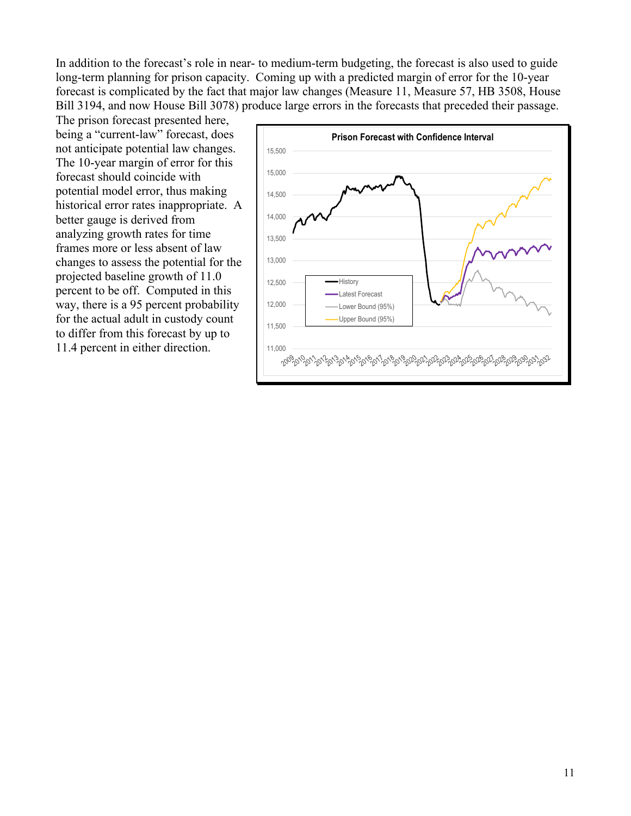In addition to the forecast's role in near- to medium-term budgeting, the forecast is also used to guide long-term planning for prison capacity. Coming up with a predicted margin of error for the 10-year forecast is complicated by the fact that major law changes (Measure 11, Measure 57, HB 3508, House Bill 3194, and now House Bill 3078) produce large errors in the forecasts that preceded their passage.

The prison forecast presented here, being a "current-law" forecast, does not anticipate potential law changes. The 10-year margin of error for this forecast should coincide with potential model error, thus making historical error rates inappropriate. A better gauge is derived from analyzing growth rates for time frames more or less absent of law changes to assess the potential for the projected baseline growth of 11.0 percent to be off. Computed in this way, there is a 95 percent probability for the actual adult in custody count to differ from this forecast by up to

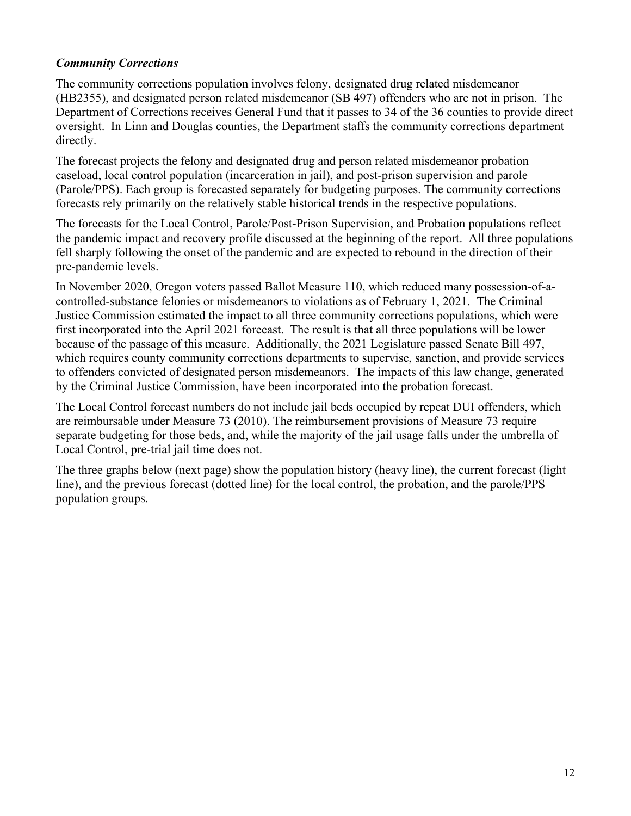## *Community Corrections*

The community corrections population involves felony, designated drug related misdemeanor (HB2355), and designated person related misdemeanor (SB 497) offenders who are not in prison. The Department of Corrections receives General Fund that it passes to 34 of the 36 counties to provide direct oversight. In Linn and Douglas counties, the Department staffs the community corrections department directly.

The forecast projects the felony and designated drug and person related misdemeanor probation caseload, local control population (incarceration in jail), and post-prison supervision and parole (Parole/PPS). Each group is forecasted separately for budgeting purposes. The community corrections forecasts rely primarily on the relatively stable historical trends in the respective populations.

The forecasts for the Local Control, Parole/Post-Prison Supervision, and Probation populations reflect the pandemic impact and recovery profile discussed at the beginning of the report. All three populations fell sharply following the onset of the pandemic and are expected to rebound in the direction of their pre-pandemic levels.

In November 2020, Oregon voters passed Ballot Measure 110, which reduced many possession-of-acontrolled-substance felonies or misdemeanors to violations as of February 1, 2021. The Criminal Justice Commission estimated the impact to all three community corrections populations, which were first incorporated into the April 2021 forecast. The result is that all three populations will be lower because of the passage of this measure. Additionally, the 2021 Legislature passed Senate Bill 497, which requires county community corrections departments to supervise, sanction, and provide services to offenders convicted of designated person misdemeanors. The impacts of this law change, generated by the Criminal Justice Commission, have been incorporated into the probation forecast.

The Local Control forecast numbers do not include jail beds occupied by repeat DUI offenders, which are reimbursable under Measure 73 (2010). The reimbursement provisions of Measure 73 require separate budgeting for those beds, and, while the majority of the jail usage falls under the umbrella of Local Control, pre-trial jail time does not.

The three graphs below (next page) show the population history (heavy line), the current forecast (light line), and the previous forecast (dotted line) for the local control, the probation, and the parole/PPS population groups.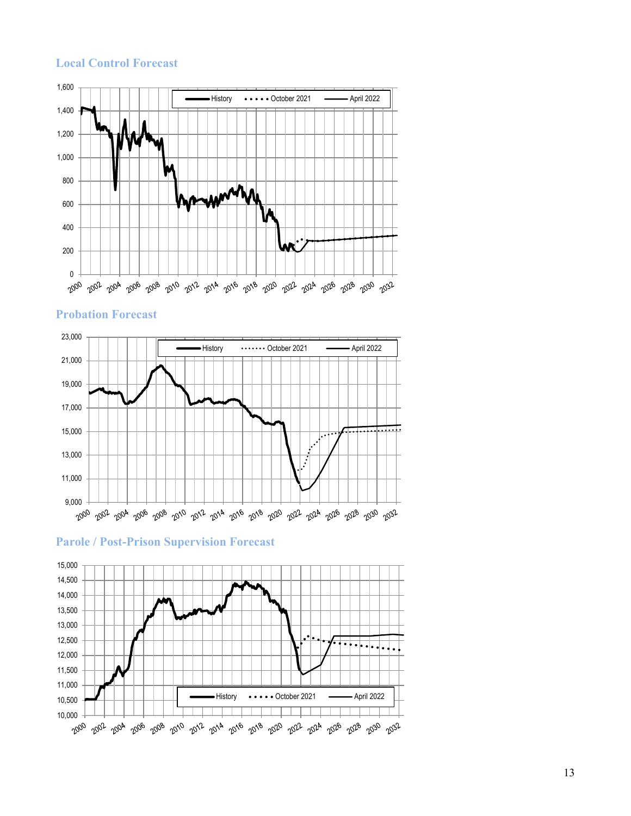#### **Local Control Forecast**



**Probation Forecast**